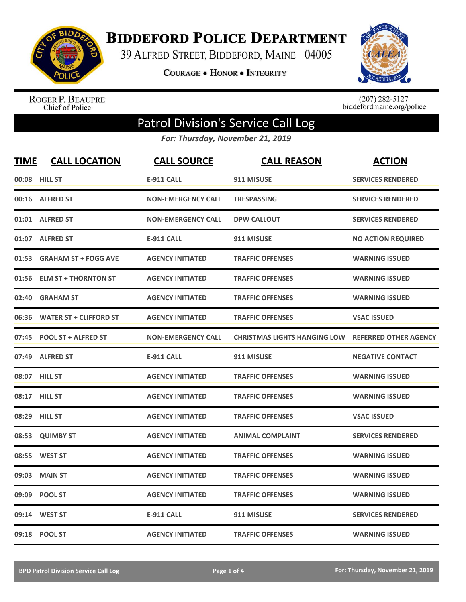

**BIDDEFORD POLICE DEPARTMENT** 

39 ALFRED STREET, BIDDEFORD, MAINE 04005

**COURAGE . HONOR . INTEGRITY** 



ROGER P. BEAUPRE<br>Chief of Police

 $(207)$  282-5127<br>biddefordmaine.org/police

## Patrol Division's Service Call Log

*For: Thursday, November 21, 2019*

| <b>TIME</b> | <b>CALL LOCATION</b>          | <b>CALL SOURCE</b>        | <b>CALL REASON</b>                  | <b>ACTION</b>                |
|-------------|-------------------------------|---------------------------|-------------------------------------|------------------------------|
|             | 00:08 HILL ST                 | <b>E-911 CALL</b>         | 911 MISUSE                          | <b>SERVICES RENDERED</b>     |
|             | 00:16 ALFRED ST               | <b>NON-EMERGENCY CALL</b> | <b>TRESPASSING</b>                  | <b>SERVICES RENDERED</b>     |
|             | 01:01 ALFRED ST               | <b>NON-EMERGENCY CALL</b> | <b>DPW CALLOUT</b>                  | <b>SERVICES RENDERED</b>     |
|             | 01:07 ALFRED ST               | <b>E-911 CALL</b>         | 911 MISUSE                          | <b>NO ACTION REQUIRED</b>    |
| 01:53       | <b>GRAHAM ST + FOGG AVE</b>   | <b>AGENCY INITIATED</b>   | <b>TRAFFIC OFFENSES</b>             | <b>WARNING ISSUED</b>        |
| 01:56       | <b>ELM ST + THORNTON ST</b>   | <b>AGENCY INITIATED</b>   | <b>TRAFFIC OFFENSES</b>             | <b>WARNING ISSUED</b>        |
| 02:40       | <b>GRAHAM ST</b>              | <b>AGENCY INITIATED</b>   | <b>TRAFFIC OFFENSES</b>             | <b>WARNING ISSUED</b>        |
| 06:36       | <b>WATER ST + CLIFFORD ST</b> | <b>AGENCY INITIATED</b>   | <b>TRAFFIC OFFENSES</b>             | <b>VSAC ISSUED</b>           |
| 07:45       | <b>POOL ST + ALFRED ST</b>    | <b>NON-EMERGENCY CALL</b> | <b>CHRISTMAS LIGHTS HANGING LOW</b> | <b>REFERRED OTHER AGENCY</b> |
| 07:49       | <b>ALFRED ST</b>              | <b>E-911 CALL</b>         | 911 MISUSE                          | <b>NEGATIVE CONTACT</b>      |
|             | 08:07 HILL ST                 | <b>AGENCY INITIATED</b>   | <b>TRAFFIC OFFENSES</b>             | <b>WARNING ISSUED</b>        |
|             | 08:17 HILL ST                 | <b>AGENCY INITIATED</b>   | <b>TRAFFIC OFFENSES</b>             | <b>WARNING ISSUED</b>        |
|             | 08:29 HILL ST                 | <b>AGENCY INITIATED</b>   | <b>TRAFFIC OFFENSES</b>             | <b>VSAC ISSUED</b>           |
| 08:53       | <b>QUIMBY ST</b>              | <b>AGENCY INITIATED</b>   | <b>ANIMAL COMPLAINT</b>             | <b>SERVICES RENDERED</b>     |
| 08:55       | <b>WEST ST</b>                | <b>AGENCY INITIATED</b>   | <b>TRAFFIC OFFENSES</b>             | <b>WARNING ISSUED</b>        |
| 09:03       | <b>MAIN ST</b>                | <b>AGENCY INITIATED</b>   | <b>TRAFFIC OFFENSES</b>             | <b>WARNING ISSUED</b>        |
| 09:09       | <b>POOL ST</b>                | <b>AGENCY INITIATED</b>   | <b>TRAFFIC OFFENSES</b>             | <b>WARNING ISSUED</b>        |
|             | 09:14 WEST ST                 | <b>E-911 CALL</b>         | 911 MISUSE                          | <b>SERVICES RENDERED</b>     |
|             | 09:18 POOL ST                 | <b>AGENCY INITIATED</b>   | <b>TRAFFIC OFFENSES</b>             | <b>WARNING ISSUED</b>        |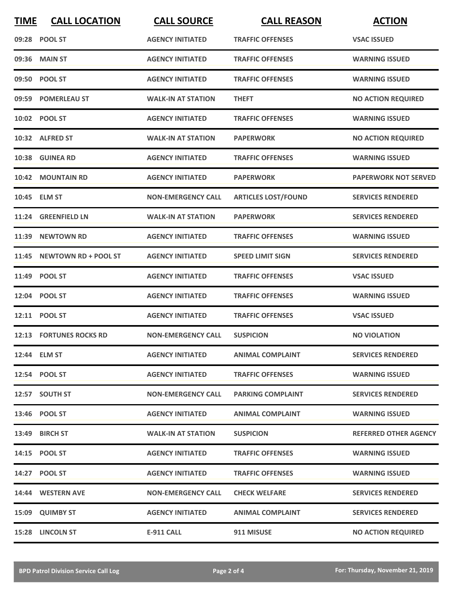| <b>TIME</b> | <b>CALL LOCATION</b>       | <b>CALL SOURCE</b>        | <b>CALL REASON</b>         | <b>ACTION</b>                |
|-------------|----------------------------|---------------------------|----------------------------|------------------------------|
|             | 09:28 POOL ST              | <b>AGENCY INITIATED</b>   | <b>TRAFFIC OFFENSES</b>    | <b>VSAC ISSUED</b>           |
|             | 09:36 MAIN ST              | <b>AGENCY INITIATED</b>   | <b>TRAFFIC OFFENSES</b>    | <b>WARNING ISSUED</b>        |
|             | 09:50 POOL ST              | <b>AGENCY INITIATED</b>   | <b>TRAFFIC OFFENSES</b>    | <b>WARNING ISSUED</b>        |
|             | 09:59 POMERLEAU ST         | <b>WALK-IN AT STATION</b> | <b>THEFT</b>               | <b>NO ACTION REQUIRED</b>    |
|             | 10:02 POOL ST              | <b>AGENCY INITIATED</b>   | <b>TRAFFIC OFFENSES</b>    | <b>WARNING ISSUED</b>        |
|             | 10:32 ALFRED ST            | <b>WALK-IN AT STATION</b> | <b>PAPERWORK</b>           | <b>NO ACTION REQUIRED</b>    |
|             | 10:38 GUINEA RD            | <b>AGENCY INITIATED</b>   | <b>TRAFFIC OFFENSES</b>    | <b>WARNING ISSUED</b>        |
| 10:42       | <b>MOUNTAIN RD</b>         | <b>AGENCY INITIATED</b>   | <b>PAPERWORK</b>           | <b>PAPERWORK NOT SERVED</b>  |
|             | 10:45 ELM ST               | <b>NON-EMERGENCY CALL</b> | <b>ARTICLES LOST/FOUND</b> | <b>SERVICES RENDERED</b>     |
|             | 11:24 GREENFIELD LN        | <b>WALK-IN AT STATION</b> | <b>PAPERWORK</b>           | <b>SERVICES RENDERED</b>     |
| 11:39       | <b>NEWTOWN RD</b>          | <b>AGENCY INITIATED</b>   | <b>TRAFFIC OFFENSES</b>    | <b>WARNING ISSUED</b>        |
|             | 11:45 NEWTOWN RD + POOL ST | <b>AGENCY INITIATED</b>   | <b>SPEED LIMIT SIGN</b>    | <b>SERVICES RENDERED</b>     |
|             | 11:49 POOL ST              | <b>AGENCY INITIATED</b>   | <b>TRAFFIC OFFENSES</b>    | <b>VSAC ISSUED</b>           |
|             | 12:04 POOL ST              | <b>AGENCY INITIATED</b>   | <b>TRAFFIC OFFENSES</b>    | <b>WARNING ISSUED</b>        |
|             | 12:11 POOL ST              | <b>AGENCY INITIATED</b>   | <b>TRAFFIC OFFENSES</b>    | <b>VSAC ISSUED</b>           |
|             | 12:13 FORTUNES ROCKS RD    | <b>NON-EMERGENCY CALL</b> | <b>SUSPICION</b>           | <b>NO VIOLATION</b>          |
|             | 12:44 ELM ST               | <b>AGENCY INITIATED</b>   | <b>ANIMAL COMPLAINT</b>    | <b>SERVICES RENDERED</b>     |
|             | 12:54 POOL ST              | <b>AGENCY INITIATED</b>   | <b>TRAFFIC OFFENSES</b>    | <b>WARNING ISSUED</b>        |
|             | 12:57 SOUTH ST             | <b>NON-EMERGENCY CALL</b> | <b>PARKING COMPLAINT</b>   | <b>SERVICES RENDERED</b>     |
|             | 13:46 POOL ST              | <b>AGENCY INITIATED</b>   | <b>ANIMAL COMPLAINT</b>    | <b>WARNING ISSUED</b>        |
|             | 13:49 BIRCH ST             | <b>WALK-IN AT STATION</b> | <b>SUSPICION</b>           | <b>REFERRED OTHER AGENCY</b> |
|             | 14:15 POOL ST              | <b>AGENCY INITIATED</b>   | <b>TRAFFIC OFFENSES</b>    | <b>WARNING ISSUED</b>        |
|             | 14:27 POOL ST              | <b>AGENCY INITIATED</b>   | <b>TRAFFIC OFFENSES</b>    | <b>WARNING ISSUED</b>        |
|             | 14:44 WESTERN AVE          | <b>NON-EMERGENCY CALL</b> | <b>CHECK WELFARE</b>       | <b>SERVICES RENDERED</b>     |
|             | 15:09 QUIMBY ST            | <b>AGENCY INITIATED</b>   | <b>ANIMAL COMPLAINT</b>    | <b>SERVICES RENDERED</b>     |
|             | 15:28 LINCOLN ST           | <b>E-911 CALL</b>         | 911 MISUSE                 | <b>NO ACTION REQUIRED</b>    |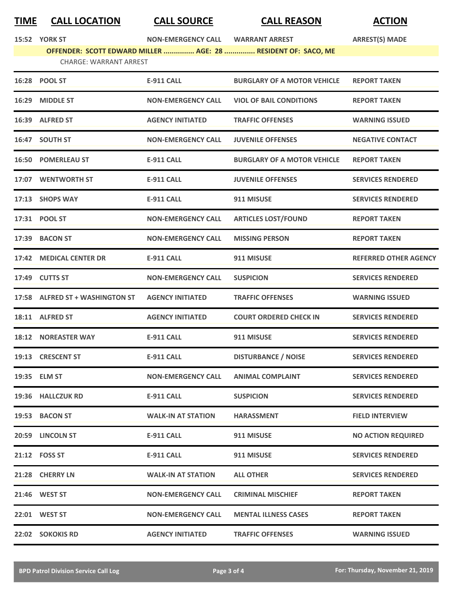## **TIME CALL LOCATION CALL SOURCE CALL REASON ACTION**

|       | <b>15:52 YORK ST</b>          | <b>NON-EMERGENCY CALL</b> | <b>WARRANT ARREST</b>                                         | <b>ARREST(S) MADE</b> |
|-------|-------------------------------|---------------------------|---------------------------------------------------------------|-----------------------|
|       |                               |                           | OFFENDER: SCOTT EDWARD MILLER  AGE: 28  RESIDENT OF: SACO, ME |                       |
|       | <b>CHARGE: WARRANT ARREST</b> |                           |                                                               |                       |
|       | 16:28 POOL ST                 | <b>E-911 CALL</b>         | <b>BURGLARY OF A MOTOR VEHICLE</b>                            | <b>REPORT TAKEN</b>   |
| 16:29 | <b>MIDDLE ST</b>              | <b>NON-EMERGENCY CALL</b> | <b>VIOL OF BAIL CONDITIONS</b>                                | <b>REPORT TAKEN</b>   |

| 16:39 ALFRED ST                 | <b>AGENCY INITIATED</b>   | <b>TRAFFIC OFFENSES</b>            | <b>WARNING ISSUED</b>        |
|---------------------------------|---------------------------|------------------------------------|------------------------------|
| 16:47 SOUTH ST                  | <b>NON-EMERGENCY CALL</b> | <b>JUVENILE OFFENSES</b>           | <b>NEGATIVE CONTACT</b>      |
| <b>16:50 POMERLEAU ST</b>       | <b>E-911 CALL</b>         | <b>BURGLARY OF A MOTOR VEHICLE</b> | <b>REPORT TAKEN</b>          |
| 17:07 WENTWORTH ST              | <b>E-911 CALL</b>         | <b>JUVENILE OFFENSES</b>           | <b>SERVICES RENDERED</b>     |
| 17:13 SHOPS WAY                 | <b>E-911 CALL</b>         | 911 MISUSE                         | <b>SERVICES RENDERED</b>     |
| 17:31 POOL ST                   | <b>NON-EMERGENCY CALL</b> | <b>ARTICLES LOST/FOUND</b>         | <b>REPORT TAKEN</b>          |
| 17:39 BACON ST                  | <b>NON-EMERGENCY CALL</b> | <b>MISSING PERSON</b>              | <b>REPORT TAKEN</b>          |
| 17:42 MEDICAL CENTER DR         | <b>E-911 CALL</b>         | 911 MISUSE                         | <b>REFERRED OTHER AGENCY</b> |
| 17:49 CUTTS ST                  | <b>NON-EMERGENCY CALL</b> | <b>SUSPICION</b>                   | <b>SERVICES RENDERED</b>     |
| 17:58 ALFRED ST + WASHINGTON ST | <b>AGENCY INITIATED</b>   | <b>TRAFFIC OFFENSES</b>            | <b>WARNING ISSUED</b>        |
| 18:11 ALFRED ST                 | <b>AGENCY INITIATED</b>   | <b>COURT ORDERED CHECK IN</b>      | <b>SERVICES RENDERED</b>     |
| <b>18:12 NOREASTER WAY</b>      | <b>E-911 CALL</b>         | 911 MISUSE                         | <b>SERVICES RENDERED</b>     |
| 19:13 CRESCENT ST               | <b>E-911 CALL</b>         | <b>DISTURBANCE / NOISE</b>         | <b>SERVICES RENDERED</b>     |
| 19:35 ELM ST                    | <b>NON-EMERGENCY CALL</b> | <b>ANIMAL COMPLAINT</b>            | <b>SERVICES RENDERED</b>     |
| 19:36 HALLCZUK RD               | <b>E-911 CALL</b>         | <b>SUSPICION</b>                   | <b>SERVICES RENDERED</b>     |
| 19:53 BACON ST                  | <b>WALK-IN AT STATION</b> | <b>HARASSMENT</b>                  | <b>FIELD INTERVIEW</b>       |
| 20:59 LINCOLN ST                | <b>E-911 CALL</b>         | 911 MISUSE                         | <b>NO ACTION REQUIRED</b>    |
| 21:12 FOSS ST                   | <b>E-911 CALL</b>         | 911 MISUSE                         | <b>SERVICES RENDERED</b>     |
| 21:28 CHERRY LN                 | <b>WALK-IN AT STATION</b> | <b>ALL OTHER</b>                   | <b>SERVICES RENDERED</b>     |
| 21:46 WEST ST                   | <b>NON-EMERGENCY CALL</b> | <b>CRIMINAL MISCHIEF</b>           | <b>REPORT TAKEN</b>          |
| 22:01 WEST ST                   | <b>NON-EMERGENCY CALL</b> | <b>MENTAL ILLNESS CASES</b>        | <b>REPORT TAKEN</b>          |
| 22:02 SOKOKIS RD                | <b>AGENCY INITIATED</b>   | <b>TRAFFIC OFFENSES</b>            | <b>WARNING ISSUED</b>        |